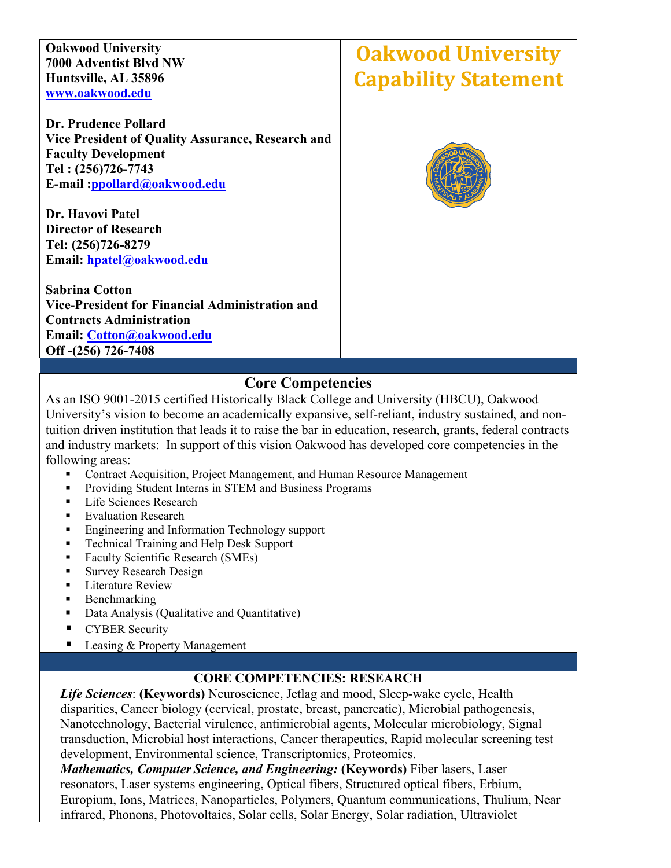**Oakwood University 7000 Adventist Blvd NW Huntsville, AL 35896 [www.oakwood.edu](http://www.oakwood.edu/)**

**Dr. Prudence Pollard Vice President of Quality Assurance, Research and Faculty Development Tel : (256)726-7743 E-mail [:ppollard@oakwood.edu](mailto:ppollard@oakwood.edu)**

**Dr. Havovi Patel Director of Research Tel: (256)726-8279 Email: hpatel@oakwood.edu** 

**Sabrina Cotton Vice-President for Financial Administration and Contracts Administration Email: [Cotton@oakwood.edu](mailto:Cotton@oakwood.edu) Off -(256) 726-7408**

# **Oakwood University Capability Statement**



## **Core Competencies**

As an ISO 9001-2015 certified Historically Black College and University (HBCU), Oakwood University's vision to become an academically expansive, self-reliant, industry sustained, and nontuition driven institution that leads it to raise the bar in education, research, grants, federal contracts and industry markets: In support of this vision Oakwood has developed core competencies in the following areas:

- Contract Acquisition, Project Management, and Human Resource Management
- **Providing Student Interns in STEM and Business Programs**
- Life Sciences Research
- **Evaluation Research**
- **Engineering and Information Technology support**
- Technical Training and Help Desk Support
- Faculty Scientific Research (SMEs)
- **Survey Research Design**
- **EXECUTE:** Literature Review
- $\blacksquare$  Benchmarking
- Data Analysis (Qualitative and Quantitative)
- **CYBER Security**
- Leasing & Property Management

#### **CORE COMPETENCIES: RESEARCH**

*Life Sciences*: **(Keywords)** Neuroscience, Jetlag and mood, Sleep-wake cycle, Health disparities, Cancer biology (cervical, prostate, breast, pancreatic), Microbial pathogenesis, Nanotechnology, Bacterial virulence, antimicrobial agents, Molecular microbiology, Signal transduction, Microbial host interactions, Cancer therapeutics, Rapid molecular screening test development, Environmental science, Transcriptomics, Proteomics.

*Mathematics, Computer Science, and Engineering:* **(Keywords)** Fiber lasers, Laser resonators, Laser systems engineering, Optical fibers, Structured optical fibers, Erbium, Europium, Ions, Matrices, Nanoparticles, Polymers, Quantum communications, Thulium, Near infrared, Phonons, Photovoltaics, Solar cells, Solar Energy, Solar radiation, Ultraviolet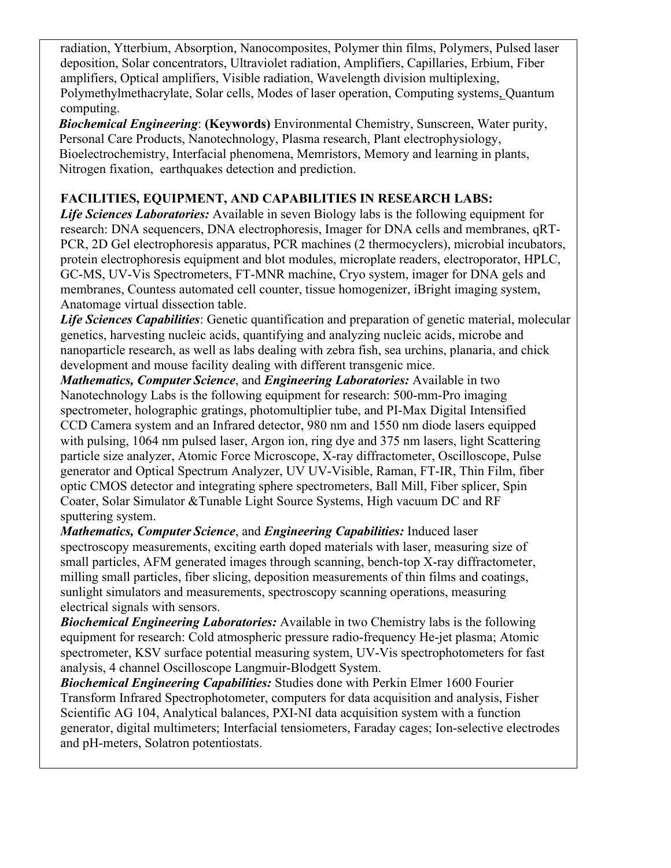radiation, Ytterbium, Absorption, Nanocomposites, Polymer thin films, Polymers, Pulsed laser deposition, Solar concentrators, Ultraviolet radiation, Amplifiers, Capillaries, Erbium, Fiber amplifiers, Optical amplifiers, Visible radiation, Wavelength division multiplexing, Polymethylmethacrylate, Solar cells, Modes of laser operation, Computing systems, Quantum computing.

 *Biochemical Engineering*: **(Keywords)** Environmental Chemistry, Sunscreen, Water purity, Personal Care Products, Nanotechnology, Plasma research, Plant electrophysiology, Bioelectrochemistry, Interfacial phenomena, Memristors, Memory and learning in plants, Nitrogen fixation, earthquakes detection and prediction.

#### **FACILITIES, EQUIPMENT, AND CAPABILITIES IN RESEARCH LABS:**

*Life Sciences Laboratories:* Available in seven Biology labs is the following equipment for research: DNA sequencers, DNA electrophoresis, Imager for DNA cells and membranes, qRT-PCR, 2D Gel electrophoresis apparatus, PCR machines (2 thermocyclers), microbial incubators, protein electrophoresis equipment and blot modules, microplate readers, electroporator, HPLC, GC-MS, UV-Vis Spectrometers, FT-MNR machine, Cryo system, imager for DNA gels and membranes, Countess automated cell counter, tissue homogenizer, iBright imaging system, Anatomage virtual dissection table.

*Life Sciences Capabilities*: Genetic quantification and preparation of genetic material, molecular genetics, harvesting nucleic acids, quantifying and analyzing nucleic acids, microbe and nanoparticle research, as well as labs dealing with zebra fish, sea urchins, planaria, and chick development and mouse facility dealing with different transgenic mice.

*Mathematics, Computer Science*, and *Engineering Laboratories:* Available in two Nanotechnology Labs is the following equipment for research: 500-mm-Pro imaging spectrometer, holographic gratings, photomultiplier tube, and PI-Max Digital Intensified CCD Camera system and an Infrared detector, 980 nm and 1550 nm diode lasers equipped with pulsing, 1064 nm pulsed laser, Argon ion, ring dye and 375 nm lasers, light Scattering particle size analyzer, Atomic Force Microscope, X-ray diffractometer, Oscilloscope, Pulse generator and Optical Spectrum Analyzer, UV UV-Visible, Raman, FT-IR, Thin Film, fiber optic CMOS detector and integrating sphere spectrometers, Ball Mill, Fiber splicer, Spin Coater, Solar Simulator &Tunable Light Source Systems, High vacuum DC and RF sputtering system.

*Mathematics, Computer Science*, and *Engineering Capabilities:* Induced laser spectroscopy measurements, exciting earth doped materials with laser, measuring size of small particles, AFM generated images through scanning, bench-top X-ray diffractometer, milling small particles, fiber slicing, deposition measurements of thin films and coatings, sunlight simulators and measurements, spectroscopy scanning operations, measuring electrical signals with sensors.

*Biochemical Engineering Laboratories:* Available in two Chemistry labs is the following equipment for research: Cold atmospheric pressure radio-frequency He-jet plasma; Atomic spectrometer, KSV surface potential measuring system, UV-Vis spectrophotometers for fast analysis, 4 channel Oscilloscope Langmuir-Blodgett System.

*Biochemical Engineering Capabilities:* Studies done with Perkin Elmer 1600 Fourier Transform Infrared Spectrophotometer, computers for data acquisition and analysis, Fisher Scientific AG 104, Analytical balances, PXI-NI data acquisition system with a function generator, digital multimeters; Interfacial tensiometers, Faraday cages; Ion-selective electrodes and pH-meters, Solatron potentiostats.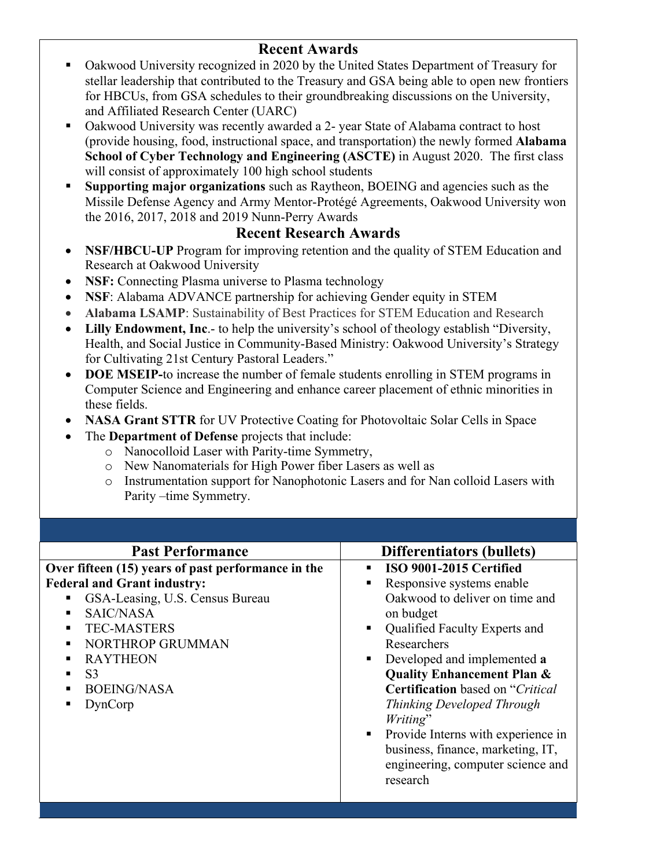# **Recent Awards**

- Oakwood University recognized in 2020 by the United States Department of Treasury for stellar leadership that contributed to the Treasury and GSA being able to open new frontiers for HBCUs, from GSA schedules to their groundbreaking discussions on the University, and Affiliated Research Center (UARC)
- Oakwood University was recently awarded a 2- year State of Alabama contract to host (provide housing, food, instructional space, and transportation) the newly formed **Alabama School of Cyber Technology and Engineering (ASCTE)** in August 2020. The first class will consist of approximately 100 high school students
- **Supporting major organizations** such as Raytheon, BOEING and agencies such as the Missile Defense Agency and Army Mentor-Protégé Agreements, Oakwood University won the 2016, 2017, 2018 and 2019 Nunn-Perry Awards

## **Recent Research Awards**

- **NSF/HBCU-UP** Program for improving retention and the quality of STEM Education and Research at Oakwood University
- **NSF:** Connecting Plasma universe to Plasma technology
- **NSF**: Alabama ADVANCE partnership for achieving Gender equity in STEM
- **Alabama LSAMP**: Sustainability of Best Practices for STEM Education and Research
- **Lilly Endowment, Inc**.- to help the university's school of theology establish "Diversity, Health, and Social Justice in Community-Based Ministry: Oakwood University's Strategy for Cultivating 21st Century Pastoral Leaders."
- **DOE MSEIP-**to increase the number of female students enrolling in STEM programs in Computer Science and Engineering and enhance career placement of ethnic minorities in these fields.
- **NASA Grant STTR** for UV Protective Coating for Photovoltaic Solar Cells in Space
- The **Department of Defense** projects that include:
	- o Nanocolloid Laser with Parity-time Symmetry,
	- o New Nanomaterials for High Power fiber Lasers as well as
	- o Instrumentation support for Nanophotonic Lasers and for Nan colloid Lasers with Parity –time Symmetry.

| <b>Past Performance</b>                            | <b>Differentiators (bullets)</b>        |
|----------------------------------------------------|-----------------------------------------|
| Over fifteen (15) years of past performance in the | ISO 9001-2015 Certified                 |
| <b>Federal and Grant industry:</b>                 | Responsive systems enable               |
| GSA-Leasing, U.S. Census Bureau                    | Oakwood to deliver on time and          |
| SAIC/NASA                                          | on budget                               |
| <b>TEC-MASTERS</b>                                 | Qualified Faculty Experts and           |
| NORTHROP GRUMMAN                                   | Researchers                             |
| <b>RAYTHEON</b>                                    | Developed and implemented a             |
| S <sub>3</sub><br>٠                                | <b>Quality Enhancement Plan &amp;</b>   |
| <b>BOEING/NASA</b>                                 | <b>Certification</b> based on "Critical |
| DynCorp                                            | Thinking Developed Through              |
|                                                    | Writing"                                |
|                                                    | Provide Interns with experience in      |
|                                                    | business, finance, marketing, IT,       |
|                                                    | engineering, computer science and       |
|                                                    | research                                |
|                                                    |                                         |